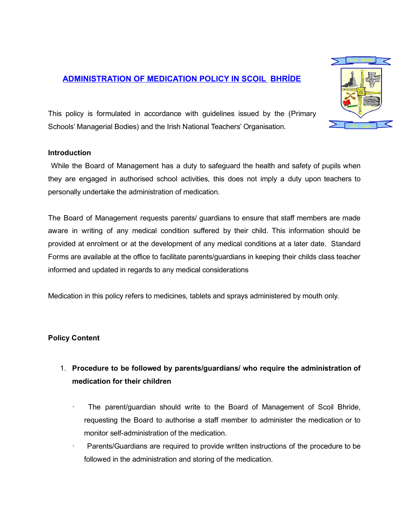## ADMINISTRATION OF MEDICATION POLICY IN SCOIL BHRÍDE

This policy is formulated in accordance with guidelines issued by the (Primary Schools' Managerial Bodies) and the Irish National Teachers' Organisation.

#### Introduction

While the Board of Management has a duty to safeguard the health and safety of pupils when they are engaged in authorised school activities, this does not imply a duty upon teachers to personally undertake the administration of medication.

The Board of Management requests parents/ guardians to ensure that staff members are made aware in writing of any medical condition suffered by their child. This information should be provided at enrolment or at the development of any medical conditions at a later date. Standard Forms are available at the office to facilitate parents/guardians in keeping their childs class teacher informed and updated in regards to any medical considerations

Medication in this policy refers to medicines, tablets and sprays administered by mouth only.

### Policy Content

# 1. Procedure to be followed by parents/guardians/ who require the administration of medication for their children

- The parent/guardian should write to the Board of Management of Scoil Bhride, requesting the Board to authorise a staff member to administer the medication or to monitor self-administration of the medication.
- Parents/Guardians are required to provide written instructions of the procedure to be followed in the administration and storing of the medication.

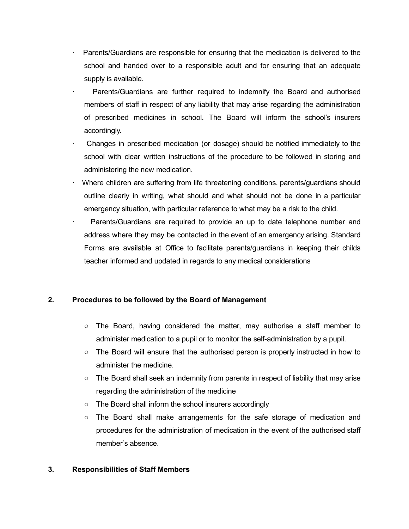- Parents/Guardians are responsible for ensuring that the medication is delivered to the school and handed over to a responsible adult and for ensuring that an adequate supply is available.
- Parents/Guardians are further required to indemnify the Board and authorised members of staff in respect of any liability that may arise regarding the administration of prescribed medicines in school. The Board will inform the school's insurers accordingly.
- · Changes in prescribed medication (or dosage) should be notified immediately to the school with clear written instructions of the procedure to be followed in storing and administering the new medication.
- · Where children are suffering from life threatening conditions, parents/guardians should outline clearly in writing, what should and what should not be done in a particular emergency situation, with particular reference to what may be a risk to the child.
- Parents/Guardians are required to provide an up to date telephone number and address where they may be contacted in the event of an emergency arising. Standard Forms are available at Office to facilitate parents/guardians in keeping their childs teacher informed and updated in regards to any medical considerations

### 2. Procedures to be followed by the Board of Management

- The Board, having considered the matter, may authorise a staff member to administer medication to a pupil or to monitor the self-administration by a pupil.
- The Board will ensure that the authorised person is properly instructed in how to administer the medicine.
- The Board shall seek an indemnity from parents in respect of liability that may arise regarding the administration of the medicine
- The Board shall inform the school insurers accordingly
- The Board shall make arrangements for the safe storage of medication and procedures for the administration of medication in the event of the authorised staff member's absence.

### 3. Responsibilities of Staff Members